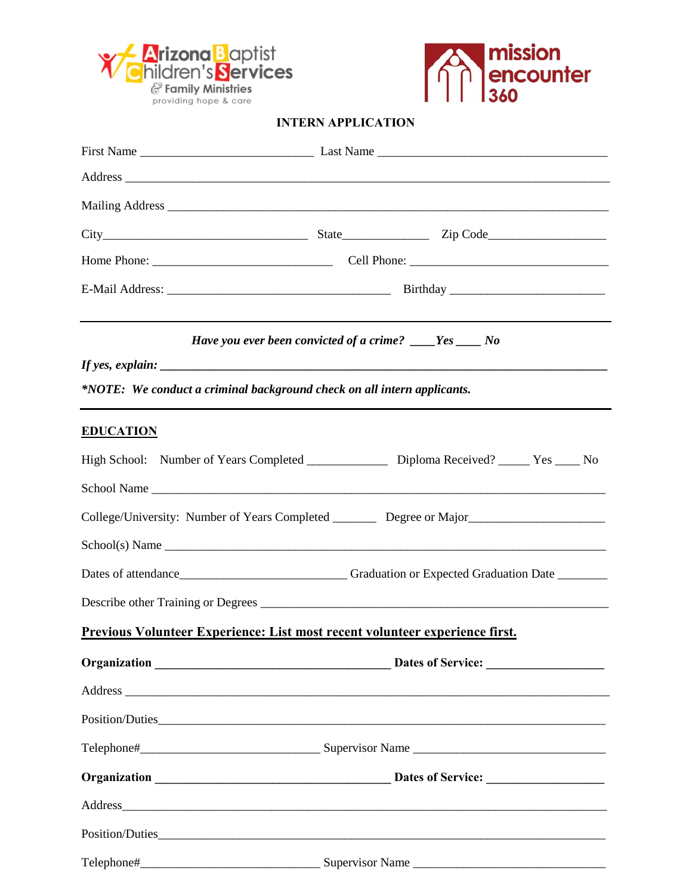



## **INTERN APPLICATION**

|                                                                                                                                                                                                                                | Have you ever been convicted of a crime? ___Yes ___ No |  |  |  |  |
|--------------------------------------------------------------------------------------------------------------------------------------------------------------------------------------------------------------------------------|--------------------------------------------------------|--|--|--|--|
|                                                                                                                                                                                                                                |                                                        |  |  |  |  |
| *NOTE: We conduct a criminal background check on all intern applicants.                                                                                                                                                        |                                                        |  |  |  |  |
| <b>EDUCATION</b>                                                                                                                                                                                                               |                                                        |  |  |  |  |
| High School: Number of Years Completed ________________ Diploma Received? _____ Yes ____ No                                                                                                                                    |                                                        |  |  |  |  |
|                                                                                                                                                                                                                                |                                                        |  |  |  |  |
| College/University: Number of Years Completed _________ Degree or Major_________________                                                                                                                                       |                                                        |  |  |  |  |
| School(s) Name                                                                                                                                                                                                                 |                                                        |  |  |  |  |
| Dates of attendance Committee Committee Committee Committee Committee Committee Committee Committee Committee Committee Committee Committee Committee Committee Committee Committee Committee Committee Committee Committee Co |                                                        |  |  |  |  |
|                                                                                                                                                                                                                                |                                                        |  |  |  |  |
| <u>Previous Volunteer Experience: List most recent volunteer experience first.</u>                                                                                                                                             |                                                        |  |  |  |  |
|                                                                                                                                                                                                                                |                                                        |  |  |  |  |
| Address experience and the contract of the contract of the contract of the contract of the contract of the contract of the contract of the contract of the contract of the contract of the contract of the contract of the con |                                                        |  |  |  |  |
|                                                                                                                                                                                                                                |                                                        |  |  |  |  |
|                                                                                                                                                                                                                                |                                                        |  |  |  |  |
|                                                                                                                                                                                                                                |                                                        |  |  |  |  |
|                                                                                                                                                                                                                                |                                                        |  |  |  |  |
|                                                                                                                                                                                                                                |                                                        |  |  |  |  |
|                                                                                                                                                                                                                                |                                                        |  |  |  |  |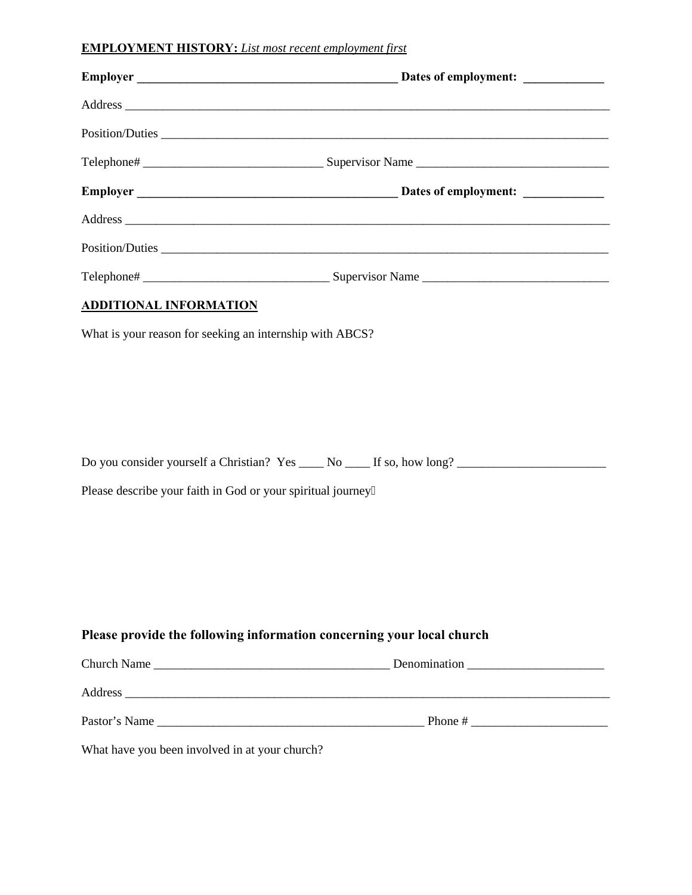## **EMPLOYMENT HISTORY:** *List most recent employment first*

|                                                              | Position/Duties                                                                                      |
|--------------------------------------------------------------|------------------------------------------------------------------------------------------------------|
|                                                              |                                                                                                      |
|                                                              |                                                                                                      |
|                                                              |                                                                                                      |
|                                                              |                                                                                                      |
|                                                              |                                                                                                      |
| <b>ADDITIONAL INFORMATION</b>                                |                                                                                                      |
| What is your reason for seeking an internship with ABCS?     |                                                                                                      |
|                                                              | Do you consider yourself a Christian? Yes _____ No _____ If so, how long? __________________________ |
| Please describe your faith in God or your spiritual journey0 |                                                                                                      |
|                                                              | Please provide the following information concerning your local church                                |
|                                                              |                                                                                                      |
|                                                              | Address                                                                                              |
|                                                              |                                                                                                      |

What have you been involved in at your church?